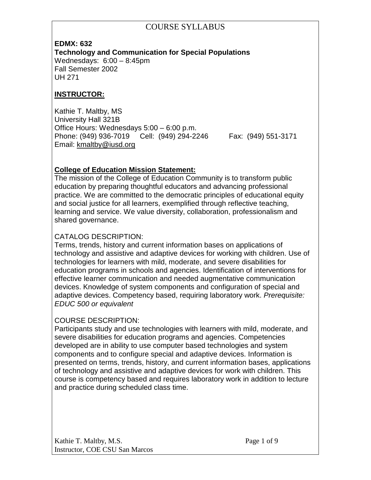**EDMX: 632 Technology and Communication for Special Populations** Wednesdays: 6:00 – 8:45pm Fall Semester 2002 UH 271

#### **INSTRUCTOR:**

Kathie T. Maltby, MS University Hall 321B Office Hours: Wednesdays 5:00 – 6:00 p.m. Phone: (949) 936-7019 Cell: (949) 294-2246 Fax: (949) 551-3171 Email: [kmaltby@iusd.org](mailto:kmaltby@iusd.org)

#### **College of Education Mission Statement:**

The mission of the College of Education Community is to transform public education by preparing thoughtful educators and advancing professional practice. We are committed to the democratic principles of educational equity and social justice for all learners, exemplified through reflective teaching, learning and service. We value diversity, collaboration, professionalism and shared governance.

#### CATALOG DESCRIPTION:

Terms, trends, history and current information bases on applications of technology and assistive and adaptive devices for working with children. Use of technologies for learners with mild, moderate, and severe disabilities for education programs in schools and agencies. Identification of interventions for effective learner communication and needed augmentative communication devices. Knowledge of system components and configuration of special and adaptive devices. Competency based, requiring laboratory work. *Prerequisite: EDUC 500 or equivalent*

#### COURSE DESCRIPTION:

Participants study and use technologies with learners with mild, moderate, and severe disabilities for education programs and agencies. Competencies developed are in ability to use computer based technologies and system components and to configure special and adaptive devices. Information is presented on terms, trends, history, and current information bases, applications of technology and assistive and adaptive devices for work with children. This course is competency based and requires laboratory work in addition to lecture and practice during scheduled class time.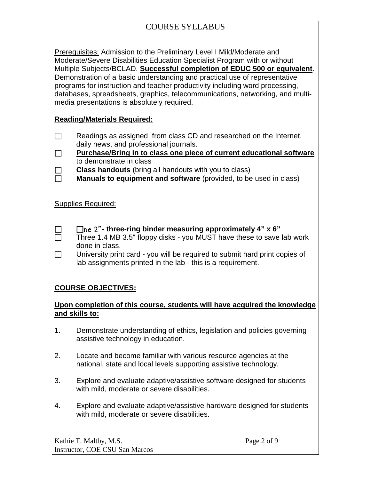Prerequisites: Admission to the Preliminary Level I Mild/Moderate and Moderate/Severe Disabilities Education Specialist Program with or without Multiple Subjects/BCLAD. **Successful completion of EDUC 500 or equivalent**. Demonstration of a basic understanding and practical use of representative programs for instruction and teacher productivity including word processing, databases, spreadsheets, graphics, telecommunications, networking, and multimedia presentations is absolutely required.

#### **Reading/Materials Required:**

- $\Box$  Readings as assigned from class CD and researched on the Internet, daily news, and professional journals.
- **Purchase/Bring in to class one piece of current educational software** to demonstrate in class
- **□** Class handouts (bring all handouts with you to class)<br>□ Manuals to equipment and software (provided, to be
	- **Manuals to equipment and software** (provided, to be used in class)

Supplies Required:

 n e 2" **- three-ring binder measuring approximately 4" x 6"**   $\Box$  Three 1.4 MB 3.5" floppy disks - you MUST have these to save lab work done in class.

 $\Box$  University print card - you will be required to submit hard print copies of lab assignments printed in the lab - this is a requirement.

## **COURSE OBJECTIVES:**

#### **Upon completion of this course, students will have acquired the knowledge and skills to:**

- 1. Demonstrate understanding of ethics, legislation and policies governing assistive technology in education.
- 2. Locate and become familiar with various resource agencies at the national, state and local levels supporting assistive technology.
- 3. Explore and evaluate adaptive/assistive software designed for students with mild, moderate or severe disabilities.
- 4. Explore and evaluate adaptive/assistive hardware designed for students with mild, moderate or severe disabilities.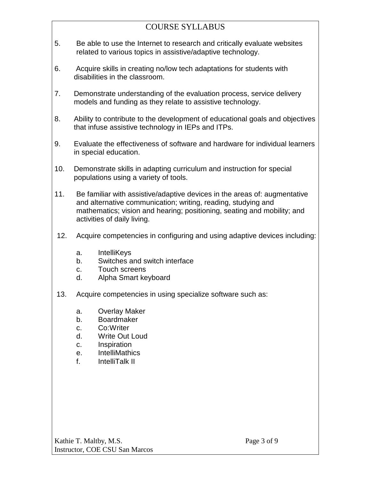- 5. Be able to use the Internet to research and critically evaluate websites related to various topics in assistive/adaptive technology.
- 6. Acquire skills in creating no/low tech adaptations for students with disabilities in the classroom.
- 7. Demonstrate understanding of the evaluation process, service delivery models and funding as they relate to assistive technology.
- 8. Ability to contribute to the development of educational goals and objectives that infuse assistive technology in IEPs and ITPs.
- 9. Evaluate the effectiveness of software and hardware for individual learners in special education.
- 10. Demonstrate skills in adapting curriculum and instruction for special populations using a variety of tools.
- 11. Be familiar with assistive/adaptive devices in the areas of: augmentative and alternative communication; writing, reading, studying and mathematics; vision and hearing; positioning, seating and mobility; and activities of daily living.
- 12. Acquire competencies in configuring and using adaptive devices including:
	- a. IntelliKeys
	- b. Switches and switch interface
	- c. Touch screens
	- d. Alpha Smart keyboard
- 13. Acquire competencies in using specialize software such as:
	- a. Overlay Maker
	- b. Boardmaker
	- c. Co:Writer
	- d. Write Out Loud
	- c. Inspiration
	- e. IntelliMathics
	- f. IntelliTalk II

Kathie T. Maltby, M.S. Page 3 of 9 Instructor, COE CSU San Marcos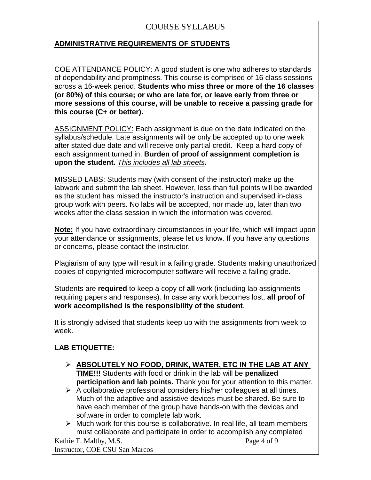## **ADMINISTRATIVE REQUIREMENTS OF STUDENTS**

COE ATTENDANCE POLICY: A good student is one who adheres to standards of dependability and promptness. This course is comprised of 16 class sessions across a 16-week period. **Students who miss three or more of the 16 classes (or 80%) of this course; or who are late for, or leave early from three or more sessions of this course, will be unable to receive a passing grade for this course (C+ or better).** 

ASSIGNMENT POLICY: Each assignment is due on the date indicated on the syllabus/schedule. Late assignments will be only be accepted up to one week after stated due date and will receive only partial credit. Keep a hard copy of each assignment turned in. **Burden of proof of assignment completion is upon the student.** *This includes all lab sheets.*

MISSED LABS: Students may (with consent of the instructor) make up the labwork and submit the lab sheet. However, less than full points will be awarded as the student has missed the instructor's instruction and supervised in-class group work with peers. No labs will be accepted, nor made up, later than two weeks after the class session in which the information was covered.

**Note:** If you have extraordinary circumstances in your life, which will impact upon your attendance or assignments, please let us know. If you have any questions or concerns, please contact the instructor.

Plagiarism of any type will result in a failing grade. Students making unauthorized copies of copyrighted microcomputer software will receive a failing grade.

Students are **required** to keep a copy of **all** work (including lab assignments requiring papers and responses). In case any work becomes lost, **all proof of work accomplished is the responsibility of the student**.

It is strongly advised that students keep up with the assignments from week to week.

## **LAB ETIQUETTE:**

- **ABSOLUTELY NO FOOD, DRINK, WATER, ETC IN THE LAB AT ANY TIME!!!** Students with food or drink in the lab will be **penalized participation and lab points.** Thank you for your attention to this matter.
- $\triangleright$  A collaborative professional considers his/her colleagues at all times. Much of the adaptive and assistive devices must be shared. Be sure to have each member of the group have hands-on with the devices and software in order to complete lab work.
- $\triangleright$  Much work for this course is collaborative. In real life, all team members must collaborate and participate in order to accomplish any completed

Kathie T. Maltby, M.S. Page 4 of 9 Instructor, COE CSU San Marcos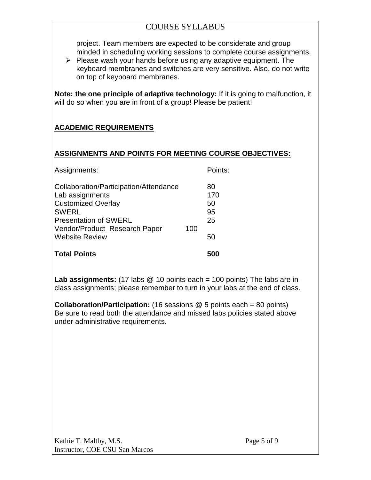project. Team members are expected to be considerate and group minded in scheduling working sessions to complete course assignments.

 $\triangleright$  Please wash your hands before using any adaptive equipment. The keyboard membranes and switches are very sensitive. Also, do not write on top of keyboard membranes.

**Note: the one principle of adaptive technology:** If it is going to malfunction, it will do so when you are in front of a group! Please be patient!

## **ACADEMIC REQUIREMENTS**

#### **ASSIGNMENTS AND POINTS FOR MEETING COURSE OBJECTIVES:**

| 50<br>95<br>25<br>50 |
|----------------------|
|                      |
|                      |
|                      |
|                      |
|                      |
| 170                  |
| 80                   |
| Points:              |
|                      |

**Lab assignments:** (17 labs @ 10 points each = 100 points) The labs are inclass assignments; please remember to turn in your labs at the end of class.

**Collaboration/Participation:** (16 sessions @ 5 points each = 80 points) Be sure to read both the attendance and missed labs policies stated above under administrative requirements.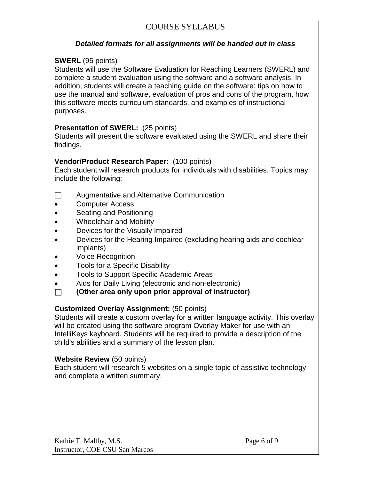#### *Detailed formats for all assignments will be handed out in class*

#### **SWERL** (95 points)

Students will use the Software Evaluation for Reaching Learners (SWERL) and complete a student evaluation using the software and a software analysis. In addition, students will create a teaching guide on the software: tips on how to use the manual and software, evaluation of pros and cons of the program, how this software meets curriculum standards, and examples of instructional purposes.

#### **Presentation of SWERL:** (25 points)

Students will present the software evaluated using the SWERL and share their findings.

#### **Vendor/Product Research Paper:** (100 points)

Each student will research products for individuals with disabilities. Topics may include the following:

- □ Augmentative and Alternative Communication
- Computer Access
- Seating and Positioning
- Wheelchair and Mobility
- Devices for the Visually Impaired
- Devices for the Hearing Impaired (excluding hearing aids and cochlear implants)
- Voice Recognition
- Tools for a Specific Disability
- Tools to Support Specific Academic Areas
- Aids for Daily Living (electronic and non-electronic)

#### **(Other area only upon prior approval of instructor)**

#### **Customized Overlay Assignment:** (50 points)

Students will create a custom overlay for a written language activity. This overlay will be created using the software program Overlay Maker for use with an IntelliKeys keyboard. Students will be required to provide a description of the child's abilities and a summary of the lesson plan.

#### **Website Review** (50 points)

Each student will research 5 websites on a single topic of assistive technology and complete a written summary.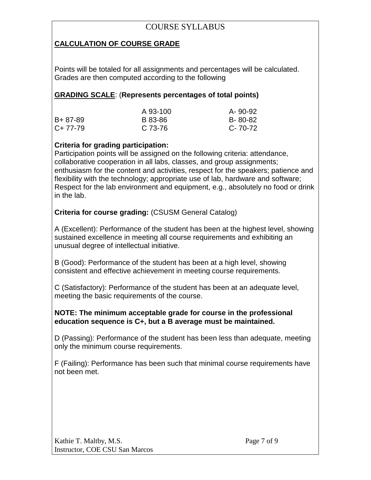## **CALCULATION OF COURSE GRADE**

Points will be totaled for all assignments and percentages will be calculated. Grades are then computed according to the following

#### **GRADING SCALE**: (**Represents percentages of total points)**

|           | A 93-100 | A-90-92 |
|-----------|----------|---------|
| B+ 87-89  | B 83-86  | B-80-82 |
| $C+77-79$ | C 73-76  | C-70-72 |

#### **Criteria for grading participation:**

Participation points will be assigned on the following criteria: attendance, collaborative cooperation in all labs, classes, and group assignments; enthusiasm for the content and activities, respect for the speakers; patience and flexibility with the technology; appropriate use of lab, hardware and software; Respect for the lab environment and equipment, e.g., absolutely no food or drink in the lab.

## **Criteria for course grading:** (CSUSM General Catalog)

A (Excellent): Performance of the student has been at the highest level, showing sustained excellence in meeting all course requirements and exhibiting an unusual degree of intellectual initiative.

B (Good): Performance of the student has been at a high level, showing consistent and effective achievement in meeting course requirements.

C (Satisfactory): Performance of the student has been at an adequate level, meeting the basic requirements of the course.

#### **NOTE: The minimum acceptable grade for course in the professional education sequence is C+, but a B average must be maintained.**

D (Passing): Performance of the student has been less than adequate, meeting only the minimum course requirements.

F (Failing): Performance has been such that minimal course requirements have not been met.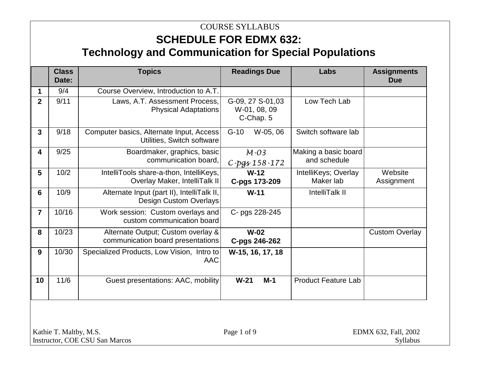# **SCHEDULE FOR EDMX 632: Technology and Communication for Special Populations**

|                | <b>Class</b><br>Date: | <b>Topics</b>                                                               | <b>Readings Due</b>                           | Labs                                 | <b>Assignments</b><br><b>Due</b> |
|----------------|-----------------------|-----------------------------------------------------------------------------|-----------------------------------------------|--------------------------------------|----------------------------------|
| 1              | 9/4                   | Course Overview, Introduction to A.T.                                       |                                               |                                      |                                  |
| $\overline{2}$ | 9/11                  | Laws, A.T. Assessment Process,<br><b>Physical Adaptations</b>               | G-09, 27 S-01,03<br>W-01, 08, 09<br>C-Chap. 5 | Low Tech Lab                         |                                  |
| 3              | 9/18                  | Computer basics, Alternate Input, Access<br>Utilities, Switch software      | $G-10$<br>W-05, 06                            | Switch software lab                  |                                  |
| 4              | 9/25                  | Boardmaker, graphics, basic<br>communication board,                         | $M - 03$<br>C-pgs 158-172                     | Making a basic board<br>and schedule |                                  |
| 5              | 10/2                  | IntelliTools share-a-thon, IntelliKeys,<br>Overlay Maker, IntelliTalk II    | $W-12$<br>C-pgs 173-209                       | IntelliKeys; Overlay<br>Maker lab    | Website<br>Assignment            |
| 6              | 10/9                  | Alternate Input (part II), IntelliTalk II,<br><b>Design Custom Overlays</b> | $W-11$                                        | IntelliTalk II                       |                                  |
| $\overline{7}$ | 10/16                 | Work session: Custom overlays and<br>custom communication board             | C- pgs 228-245                                |                                      |                                  |
| 8              | 10/23                 | Alternate Output; Custom overlay &<br>communication board presentations     | $W-02$<br>C-pgs 246-262                       |                                      | <b>Custom Overlay</b>            |
| 9              | 10/30                 | Specialized Products, Low Vision, Intro to<br><b>AAC</b>                    | W-15, 16, 17, 18                              |                                      |                                  |
| 10             | 11/6                  | Guest presentations: AAC, mobility                                          | $W-21$<br>$M-1$                               | <b>Product Feature Lab</b>           |                                  |

Kathie T. Maltby, M.S. **Page 1 of 9** EDMX 632, Fall, 2002 Instructor, COE CSU San Marcos Syllabus